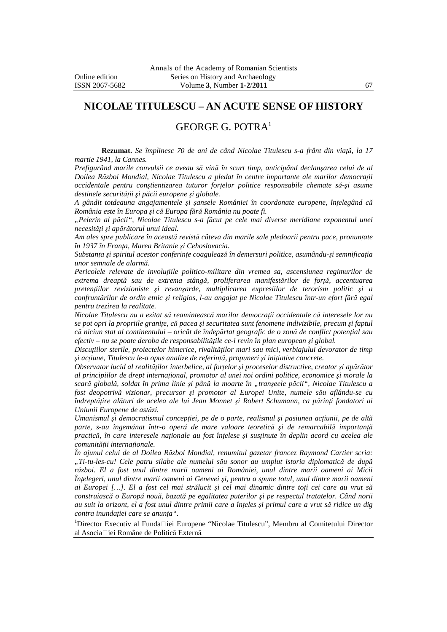## **NICOLAE TITULESCU – AN ACUTE SENSE OF HISTORY**

## GEORGE G. POTRA<sup>1</sup>

**Rezumat.** *Se împlinesc 70 de ani de când Nicolae Titulescu s-a frânt din viaţă, la 17 martie 1941, la Cannes.* 

*Prefigurând marile convulsii ce aveau să vină în scurt timp, anticipând declanşarea celui de al Doilea Război Mondial, Nicolae Titulescu a pledat în centre importante ale marilor democraţii occidentale pentru conştientizarea tuturor forţelor politice responsabile chemate să-şi asume destinele securităţii şi păcii europene şi globale.* 

*A gândit totdeauna angajamentele şi şansele României în coordonate europene, înţelegând că România este în Europa şi că Europa fără România nu poate fi.* 

*"Pelerin al păcii", Nicolae Titulescu s-a făcut pe cele mai diverse meridiane exponentul unei necesităţi şi apărătorul unui ideal.* 

*Am ales spre publicare în această revistă câteva din marile sale pledoarii pentru pace, pronunţate în 1937 în Franţa, Marea Britanie şi Cehoslovacia.* 

*Substanţa şi spiritul acestor conferinţe coagulează în demersuri politice, asumându-şi semnificaţia unor semnale de alarmă.* 

*Pericolele relevate de involuţiile politico-militare din vremea sa, ascensiunea regimurilor de extrema dreaptă sau de extrema stângă, proliferarea manifestărilor de forţă, accentuarea pretenţiilor revizioniste şi revanşarde, multiplicarea expresiilor de terorism politic şi a confruntărilor de ordin etnic şi religios, l-au angajat pe Nicolae Titulescu într-un efort fără egal pentru trezirea la realitate.* 

*Nicolae Titulescu nu a ezitat să reamintească marilor democraţii occidentale că interesele lor nu se pot opri la propriile graniţe, că pacea şi securitatea sunt fenomene indivizibile, precum şi faptul că niciun stat al continentului – oricât de îndepărtat geografic de o zonă de conflict potenţial sau efectiv – nu se poate deroba de responsabilităţile ce-i revin în plan european şi global.* 

*Discuţiilor sterile, proiectelor himerice, rivalităţilor mari sau mici, verbiajului devorator de timp şi acţiune, Titulescu le-a opus analize de referinţă, propuneri şi iniţiative concrete.* 

*Observator lucid al realităţilor interbelice, al forţelor şi proceselor distructive, creator şi apărător al principiilor de drept internaţional, promotor al unei noi ordini politice, economice şi morale la scară globală, soldat în prima linie şi până la moarte în "tranşeele păcii", Nicolae Titulescu a fost deopotrivă vizionar, precursor şi promotor al Europei Unite, numele său aflându-se cu îndreptăţire alături de acelea ale lui Jean Monnet şi Robert Schumann, ca părinţi fondatori ai Uniunii Europene de astăzi.* 

*Umanismul şi democratismul concepţiei, pe de o parte, realismul şi pasiunea acţiunii, pe de altă parte, s-au îngemănat într-o operă de mare valoare teoretică şi de remarcabilă importanţă practică, în care interesele naţionale au fost înţelese şi susţinute în deplin acord cu acelea ale comunităţii internaţionale.* 

*În ajunul celui de al Doilea Război Mondial, renumitul gazetar francez Raymond Cartier scria: "Ti-tu-les-cu! Cele patru silabe ale numelui său sonor au umplut istoria diplomatică de după război. El a fost unul dintre marii oameni ai României, unul dintre marii oameni ai Micii Înţelegeri, unul dintre marii oameni ai Genevei şi, pentru a spune totul, unul dintre marii oameni ai Europei […]. El a fost cel mai strălucit şi cel mai dinamic dintre toţi cei care au vrut să construiască o Europă nouă, bazată pe egalitatea puterilor şi pe respectul tratatelor. Când norii au suit la orizont, el a fost unul dintre primii care a înţeles şi primul care a vrut să ridice un dig contra inundaţiei care se anunţa".* 

 $1$ Director Executiv al Funda $\Box$ iei Europene "Nicolae Titulescu", Membru al Comitetului Director al Asocia□iei Române de Politică Externă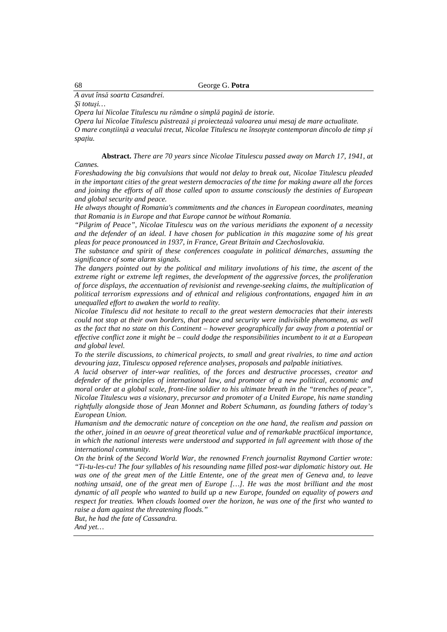## *A avut însă soarta Casandrei.*

*Şi totuşi…* 

*Opera lui Nicolae Titulescu nu rămâne o simplă pagină de istorie.* 

*Opera lui Nicolae Titulescu păstrează şi proiectează valoarea unui mesaj de mare actualitate.* 

*O mare conştiinţă a veacului trecut, Nicolae Titulescu ne însoţeşte contemporan dincolo de timp şi spaţiu.* 

**Abstract.** *There are 70 years since Nicolae Titulescu passed away on March 17, 1941, at Cannes.* 

*Foreshadowing the big convulsions that would not delay to break out, Nicolae Titulescu pleaded in the important cities of the great western democracies of the time for making aware all the forces and joining the efforts of all those called upon to assume consciously the destinies of European and global security and peace.* 

*He always thought of Romania's commitments and the chances in European coordinates, meaning that Romania is in Europe and that Europe cannot be without Romania.* 

*"Pilgrim of Peace", Nicolae Titulescu was on the various meridians the exponent of a necessity and the defender of an ideal. I have chosen for publication in this magazine some of his great pleas for peace pronounced in 1937, in France, Great Britain and Czechoslovakia.* 

*The substance and spirit of these conferences coagulate in political démarches, assuming the significance of some alarm signals.* 

*The dangers pointed out by the political and military involutions of his time, the ascent of the extreme right or extreme left regimes, the development of the aggressive forces, the proliferation of force displays, the accentuation of revisionist and revenge-seeking claims, the multiplication of political terrorism expressions and of ethnical and religious confrontations, engaged him in an unequalled effort to awaken the world to reality.* 

*Nicolae Titulescu did not hesitate to recall to the great western democracies that their interests could not stop at their own borders, that peace and security were indivisible phenomena, as well as the fact that no state on this Continent – however geographically far away from a potential or effective conflict zone it might be – could dodge the responsibilities incumbent to it at a European and global level.* 

*To the sterile discussions, to chimerical projects, to small and great rivalries, to time and action devouring jazz, Titulescu opposed reference analyses, proposals and palpable initiatives.* 

*A lucid observer of inter-war realities, of the forces and destructive processes, creator and defender of the principles of international law, and promoter of a new political, economic and moral order at a global scale, front-line soldier to his ultimate breath in the "trenches of peace", Nicolae Titulescu was a visionary, precursor and promoter of a United Europe, his name standing rightfully alongside those of Jean Monnet and Robert Schumann, as founding fathers of today's European Union.* 

*Humanism and the democratic nature of conception on the one hand, the realism and passion on the other, joined in an oeuvre of great theoretical value and of remarkable pract6ical importance, in which the national interests were understood and supported in full agreement with those of the international community.* 

*On the brink of the Second World War, the renowned French journalist Raymond Cartier wrote: "Ti-tu-les-cu! The four syllables of his resounding name filled post-war diplomatic history out. He*  was one of the great men of the Little Entente, one of the great men of Geneva and, to leave *nothing unsaid, one of the great men of Europe [...]. He was the most brilliant and the most dynamic of all people who wanted to build up a new Europe, founded on equality of powers and respect for treaties. When clouds loomed over the horizon, he was one of the first who wanted to raise a dam against the threatening floods."* 

*But, he had the fate of Cassandra.* 

*And yet…*